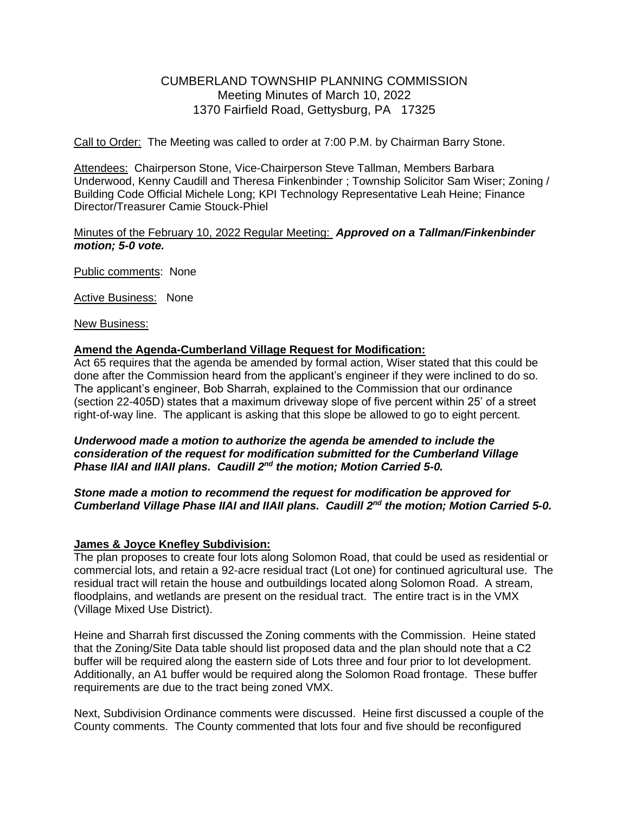# CUMBERLAND TOWNSHIP PLANNING COMMISSION Meeting Minutes of March 10, 2022 1370 Fairfield Road, Gettysburg, PA 17325

Call to Order: The Meeting was called to order at 7:00 P.M. by Chairman Barry Stone.

Attendees: Chairperson Stone, Vice-Chairperson Steve Tallman, Members Barbara Underwood, Kenny Caudill and Theresa Finkenbinder ; Township Solicitor Sam Wiser; Zoning / Building Code Official Michele Long; KPI Technology Representative Leah Heine; Finance Director/Treasurer Camie Stouck-Phiel

#### Minutes of the February 10, 2022 Regular Meeting: *Approved on a Tallman/Finkenbinder motion; 5-0 vote.*

Public comments: None

Active Business: None

New Business:

### **Amend the Agenda-Cumberland Village Request for Modification:**

Act 65 requires that the agenda be amended by formal action, Wiser stated that this could be done after the Commission heard from the applicant's engineer if they were inclined to do so. The applicant's engineer, Bob Sharrah, explained to the Commission that our ordinance (section 22-405D) states that a maximum driveway slope of five percent within 25' of a street right-of-way line. The applicant is asking that this slope be allowed to go to eight percent.

#### *Underwood made a motion to authorize the agenda be amended to include the consideration of the request for modification submitted for the Cumberland Village Phase IIAI and IIAII plans. Caudill 2nd the motion; Motion Carried 5-0.*

### *Stone made a motion to recommend the request for modification be approved for Cumberland Village Phase IIAI and IIAII plans. Caudill 2nd the motion; Motion Carried 5-0.*

## **James & Joyce Knefley Subdivision:**

The plan proposes to create four lots along Solomon Road, that could be used as residential or commercial lots, and retain a 92-acre residual tract (Lot one) for continued agricultural use. The residual tract will retain the house and outbuildings located along Solomon Road. A stream, floodplains, and wetlands are present on the residual tract. The entire tract is in the VMX (Village Mixed Use District).

Heine and Sharrah first discussed the Zoning comments with the Commission. Heine stated that the Zoning/Site Data table should list proposed data and the plan should note that a C2 buffer will be required along the eastern side of Lots three and four prior to lot development. Additionally, an A1 buffer would be required along the Solomon Road frontage. These buffer requirements are due to the tract being zoned VMX.

Next, Subdivision Ordinance comments were discussed. Heine first discussed a couple of the County comments. The County commented that lots four and five should be reconfigured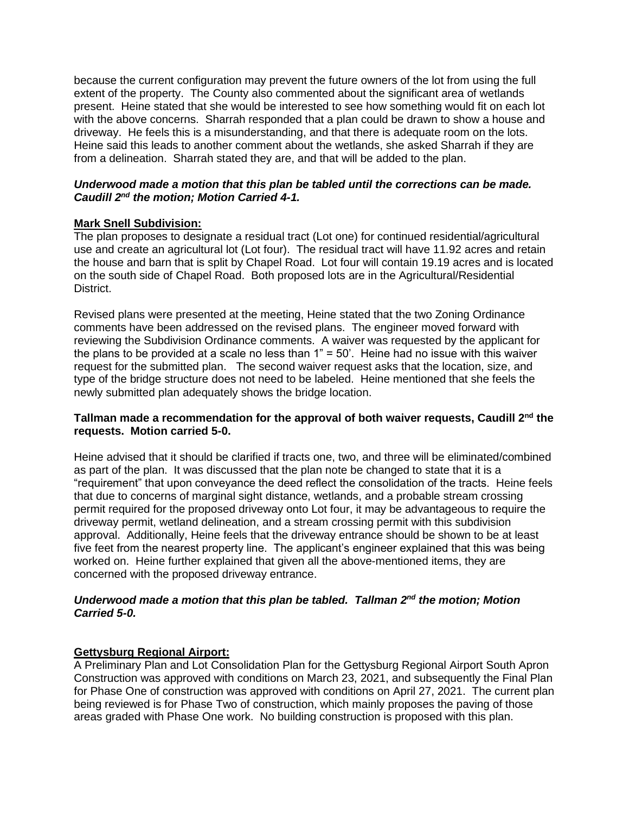because the current configuration may prevent the future owners of the lot from using the full extent of the property. The County also commented about the significant area of wetlands present. Heine stated that she would be interested to see how something would fit on each lot with the above concerns. Sharrah responded that a plan could be drawn to show a house and driveway. He feels this is a misunderstanding, and that there is adequate room on the lots. Heine said this leads to another comment about the wetlands, she asked Sharrah if they are from a delineation. Sharrah stated they are, and that will be added to the plan.

### *Underwood made a motion that this plan be tabled until the corrections can be made. Caudill 2 nd the motion; Motion Carried 4-1.*

## **Mark Snell Subdivision:**

The plan proposes to designate a residual tract (Lot one) for continued residential/agricultural use and create an agricultural lot (Lot four). The residual tract will have 11.92 acres and retain the house and barn that is split by Chapel Road. Lot four will contain 19.19 acres and is located on the south side of Chapel Road. Both proposed lots are in the Agricultural/Residential District.

Revised plans were presented at the meeting, Heine stated that the two Zoning Ordinance comments have been addressed on the revised plans. The engineer moved forward with reviewing the Subdivision Ordinance comments. A waiver was requested by the applicant for the plans to be provided at a scale no less than 1" = 50'. Heine had no issue with this waiver request for the submitted plan. The second waiver request asks that the location, size, and type of the bridge structure does not need to be labeled. Heine mentioned that she feels the newly submitted plan adequately shows the bridge location.

### **Tallman made a recommendation for the approval of both waiver requests, Caudill 2nd the requests. Motion carried 5-0.**

Heine advised that it should be clarified if tracts one, two, and three will be eliminated/combined as part of the plan. It was discussed that the plan note be changed to state that it is a "requirement" that upon conveyance the deed reflect the consolidation of the tracts. Heine feels that due to concerns of marginal sight distance, wetlands, and a probable stream crossing permit required for the proposed driveway onto Lot four, it may be advantageous to require the driveway permit, wetland delineation, and a stream crossing permit with this subdivision approval. Additionally, Heine feels that the driveway entrance should be shown to be at least five feet from the nearest property line. The applicant's engineer explained that this was being worked on. Heine further explained that given all the above-mentioned items, they are concerned with the proposed driveway entrance.

### *Underwood made a motion that this plan be tabled. Tallman 2 nd the motion; Motion Carried 5-0.*

## **Gettysburg Regional Airport:**

A Preliminary Plan and Lot Consolidation Plan for the Gettysburg Regional Airport South Apron Construction was approved with conditions on March 23, 2021, and subsequently the Final Plan for Phase One of construction was approved with conditions on April 27, 2021. The current plan being reviewed is for Phase Two of construction, which mainly proposes the paving of those areas graded with Phase One work. No building construction is proposed with this plan.